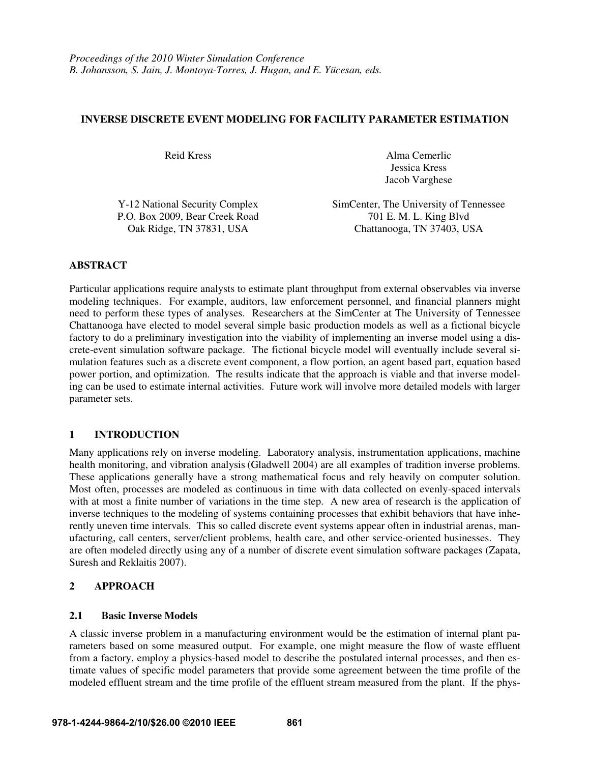### **INVERSE DISCRETE EVENT MODELING FOR FACILITY PARAMETER ESTIMATION**

Reid Kress Alma Cemerlic Jessica Kress Jacob Varghese

| Y-12 National Security Complex | SimCenter, The University of Tennessee |
|--------------------------------|----------------------------------------|
| P.O. Box 2009, Bear Creek Road | 701 E. M. L. King Blvd                 |
| Oak Ridge, TN 37831, USA       | Chattanooga, TN 37403, USA             |

### **ABSTRACT**

Particular applications require analysts to estimate plant throughput from external observables via inverse modeling techniques. For example, auditors, law enforcement personnel, and financial planners might need to perform these types of analyses. Researchers at the SimCenter at The University of Tennessee Chattanooga have elected to model several simple basic production models as well as a fictional bicycle factory to do a preliminary investigation into the viability of implementing an inverse model using a discrete-event simulation software package. The fictional bicycle model will eventually include several simulation features such as a discrete event component, a flow portion, an agent based part, equation based power portion, and optimization. The results indicate that the approach is viable and that inverse modeling can be used to estimate internal activities. Future work will involve more detailed models with larger parameter sets.

### **1 INTRODUCTION**

Many applications rely on inverse modeling. Laboratory analysis, instrumentation applications, machine health monitoring, and vibration analysis (Gladwell 2004) are all examples of tradition inverse problems. These applications generally have a strong mathematical focus and rely heavily on computer solution. Most often, processes are modeled as continuous in time with data collected on evenly-spaced intervals with at most a finite number of variations in the time step. A new area of research is the application of inverse techniques to the modeling of systems containing processes that exhibit behaviors that have inherently uneven time intervals. This so called discrete event systems appear often in industrial arenas, manufacturing, call centers, server/client problems, health care, and other service-oriented businesses. They are often modeled directly using any of a number of discrete event simulation software packages (Zapata, Suresh and Reklaitis 2007).

### **2 APPROACH**

#### **2.1 Basic Inverse Models**

A classic inverse problem in a manufacturing environment would be the estimation of internal plant parameters based on some measured output. For example, one might measure the flow of waste effluent from a factory, employ a physics-based model to describe the postulated internal processes, and then estimate values of specific model parameters that provide some agreement between the time profile of the modeled effluent stream and the time profile of the effluent stream measured from the plant. If the phys-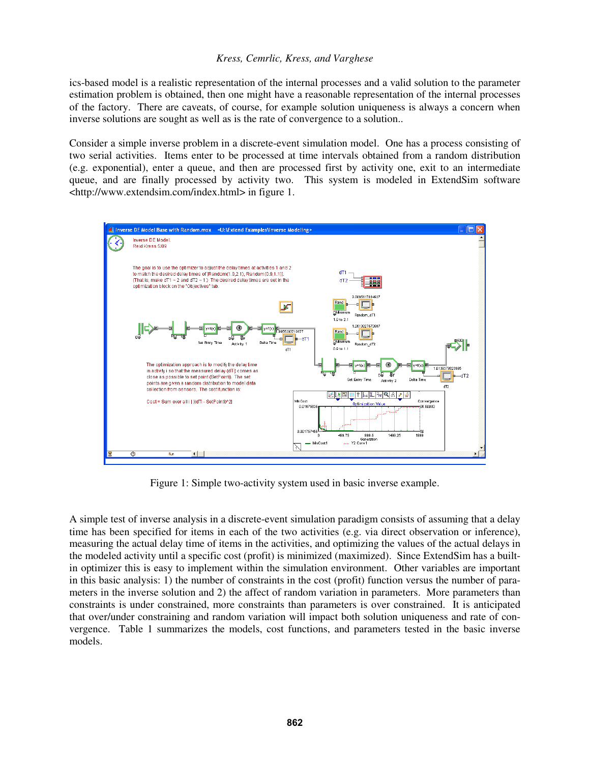### *Kress, Cemrlic, Kress, and Varghese*

ics-based model is a realistic representation of the internal processes and a valid solution to the parameter estimation problem is obtained, then one might have a reasonable representation of the internal processes of the factory. There are caveats, of course, for example solution uniqueness is always a concern when inverse solutions are sought as well as is the rate of convergence to a solution..

Consider a simple inverse problem in a discrete-event simulation model. One has a process consisting of two serial activities. Items enter to be processed at time intervals obtained from a random distribution (e.g. exponential), enter a queue, and then are processed first by activity one, exit to an intermediate queue, and are finally processed by activity two. This system is modeled in ExtendSim software <http://www.extendsim.com/index.html> in figure 1.



Figure 1: Simple two-activity system used in basic inverse example.

A simple test of inverse analysis in a discrete-event simulation paradigm consists of assuming that a delay time has been specified for items in each of the two activities (e.g. via direct observation or inference), measuring the actual delay time of items in the activities, and optimizing the values of the actual delays in the modeled activity until a specific cost (profit) is minimized (maximized). Since ExtendSim has a builtin optimizer this is easy to implement within the simulation environment. Other variables are important in this basic analysis: 1) the number of constraints in the cost (profit) function versus the number of parameters in the inverse solution and 2) the affect of random variation in parameters. More parameters than constraints is under constrained, more constraints than parameters is over constrained. It is anticipated that over/under constraining and random variation will impact both solution uniqueness and rate of convergence. Table 1 summarizes the models, cost functions, and parameters tested in the basic inverse models.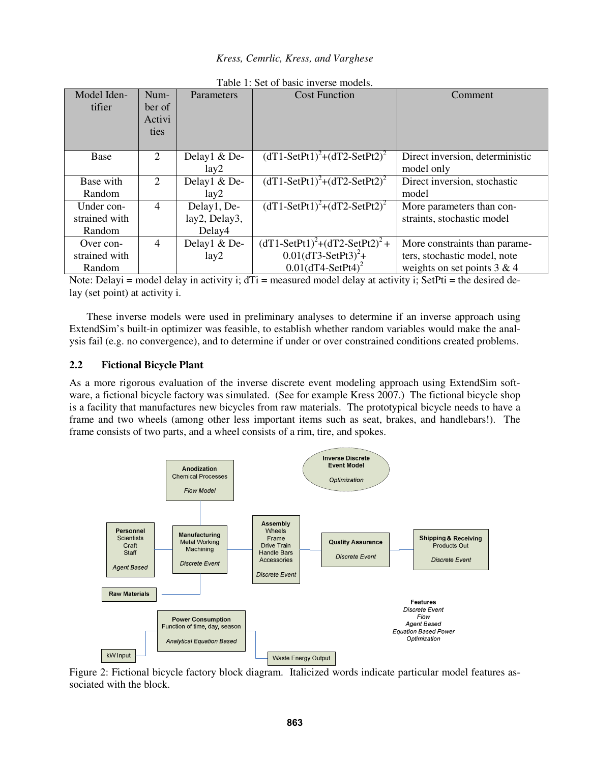### *Kress, Cemrlic, Kress, and Varghese*

| Model Iden-   | Num-           | <b>Parameters</b> | <b>Cost Function</b>                 | Comment                         |
|---------------|----------------|-------------------|--------------------------------------|---------------------------------|
| tifier        | ber of         |                   |                                      |                                 |
|               | Activi         |                   |                                      |                                 |
|               | ties           |                   |                                      |                                 |
|               |                |                   |                                      |                                 |
| Base          | 2              | Delay1 & De-      | $(dT1-SetPt1)^{2}+(dT2-SetPt2)^{2}$  | Direct inversion, deterministic |
|               |                | lay2              |                                      | model only                      |
| Base with     | 2              | Delay1 & De-      | $(dT1-SetPt1)^{2}+(dT2-SetPt2)^{2}$  | Direct inversion, stochastic    |
| Random        |                | lay2              |                                      | model                           |
| Under con-    | $\overline{4}$ | Delay1, De-       | $(dT1-SetPt1)^{2}+(dT2-SetPt2)^{2}$  | More parameters than con-       |
| strained with |                | lay2, Delay3,     |                                      | straints, stochastic model      |
| Random        |                | Delay4            |                                      |                                 |
| Over con-     | $\overline{4}$ | Delay1 & De-      | $(dT1-SetPt1)^{2}+(dT2-SetPt2)^{2}+$ | More constraints than parame-   |
| strained with |                | lay2              | $0.01(dT3-SetPt3)^{2}+$              | ters, stochastic model, note    |
| Random        |                |                   | $0.01(dT4-SetPt4)^2$                 | weights on set points $3 & 4$   |

Table 1: Set of basic inverse models.

Note: Delayi = model delay in activity i; dTi = measured model delay at activity i; SetPti = the desired delay (set point) at activity i.

 These inverse models were used in preliminary analyses to determine if an inverse approach using ExtendSim's built-in optimizer was feasible, to establish whether random variables would make the analysis fail (e.g. no convergence), and to determine if under or over constrained conditions created problems.

## **2.2 Fictional Bicycle Plant**

As a more rigorous evaluation of the inverse discrete event modeling approach using ExtendSim software, a fictional bicycle factory was simulated. (See for example Kress 2007.) The fictional bicycle shop is a facility that manufactures new bicycles from raw materials. The prototypical bicycle needs to have a frame and two wheels (among other less important items such as seat, brakes, and handlebars!). The frame consists of two parts, and a wheel consists of a rim, tire, and spokes.



Figure 2: Fictional bicycle factory block diagram. Italicized words indicate particular model features associated with the block.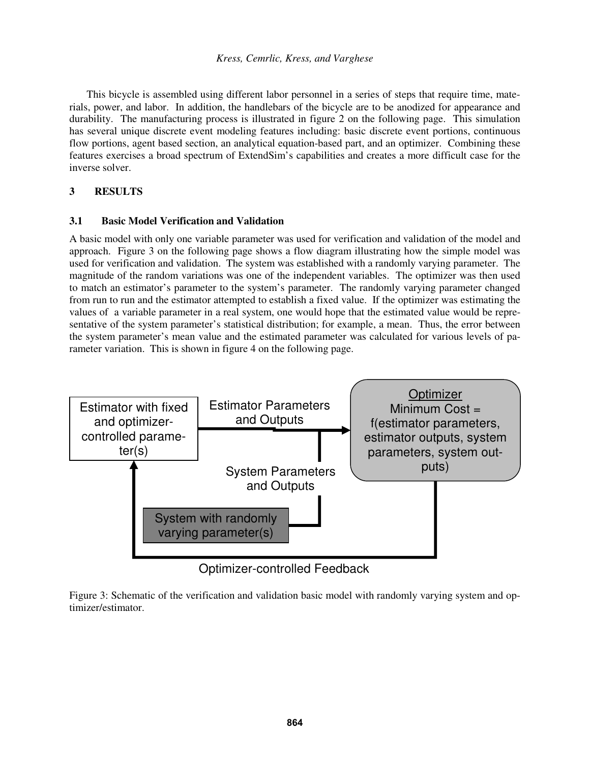This bicycle is assembled using different labor personnel in a series of steps that require time, materials, power, and labor. In addition, the handlebars of the bicycle are to be anodized for appearance and durability. The manufacturing process is illustrated in figure 2 on the following page. This simulation has several unique discrete event modeling features including: basic discrete event portions, continuous flow portions, agent based section, an analytical equation-based part, and an optimizer. Combining these features exercises a broad spectrum of ExtendSim's capabilities and creates a more difficult case for the inverse solver.

# **3 RESULTS**

### **3.1 Basic Model Verification and Validation**

A basic model with only one variable parameter was used for verification and validation of the model and approach. Figure 3 on the following page shows a flow diagram illustrating how the simple model was used for verification and validation. The system was established with a randomly varying parameter. The magnitude of the random variations was one of the independent variables. The optimizer was then used to match an estimator's parameter to the system's parameter. The randomly varying parameter changed from run to run and the estimator attempted to establish a fixed value. If the optimizer was estimating the values of a variable parameter in a real system, one would hope that the estimated value would be representative of the system parameter's statistical distribution; for example, a mean. Thus, the error between the system parameter's mean value and the estimated parameter was calculated for various levels of parameter variation. This is shown in figure 4 on the following page.



Optimizer-controlled Feedback

Figure 3: Schematic of the verification and validation basic model with randomly varying system and optimizer/estimator.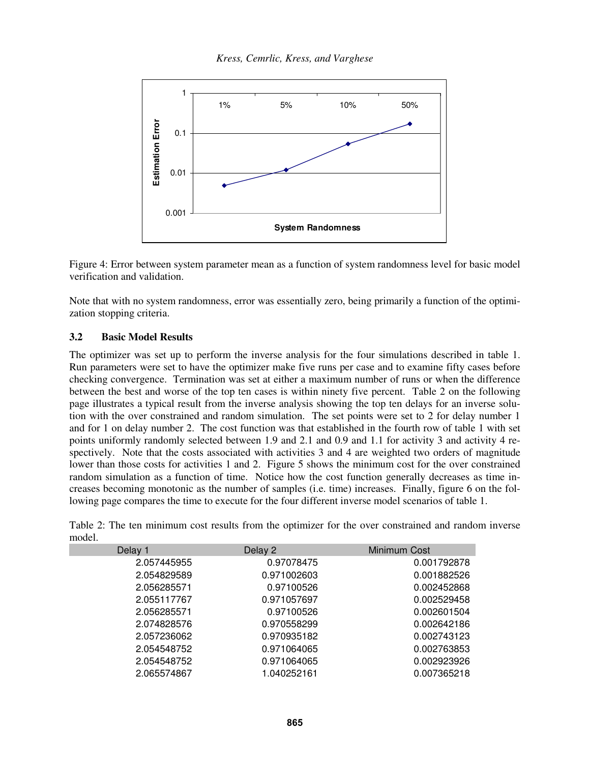

Figure 4: Error between system parameter mean as a function of system randomness level for basic model verification and validation.

Note that with no system randomness, error was essentially zero, being primarily a function of the optimization stopping criteria.

### **3.2 Basic Model Results**

The optimizer was set up to perform the inverse analysis for the four simulations described in table 1. Run parameters were set to have the optimizer make five runs per case and to examine fifty cases before checking convergence. Termination was set at either a maximum number of runs or when the difference between the best and worse of the top ten cases is within ninety five percent. Table 2 on the following page illustrates a typical result from the inverse analysis showing the top ten delays for an inverse solution with the over constrained and random simulation. The set points were set to 2 for delay number 1 and for 1 on delay number 2. The cost function was that established in the fourth row of table 1 with set points uniformly randomly selected between 1.9 and 2.1 and 0.9 and 1.1 for activity 3 and activity 4 respectively. Note that the costs associated with activities 3 and 4 are weighted two orders of magnitude lower than those costs for activities 1 and 2. Figure 5 shows the minimum cost for the over constrained random simulation as a function of time. Notice how the cost function generally decreases as time increases becoming monotonic as the number of samples (i.e. time) increases. Finally, figure 6 on the following page compares the time to execute for the four different inverse model scenarios of table 1.

| wuvi. |             |             |              |
|-------|-------------|-------------|--------------|
|       | Delay 1     | Delay 2     | Minimum Cost |
|       | 2.057445955 | 0.97078475  | 0.001792878  |
|       | 2.054829589 | 0.971002603 | 0.001882526  |
|       | 2.056285571 | 0.97100526  | 0.002452868  |
|       | 2.055117767 | 0.971057697 | 0.002529458  |
|       | 2.056285571 | 0.97100526  | 0.002601504  |
|       | 2.074828576 | 0.970558299 | 0.002642186  |
|       | 2.057236062 | 0.970935182 | 0.002743123  |
|       | 2.054548752 | 0.971064065 | 0.002763853  |
|       | 2.054548752 | 0.971064065 | 0.002923926  |
|       | 2.065574867 | 1.040252161 | 0.007365218  |

Table 2: The ten minimum cost results from the optimizer for the over constrained and random inverse model.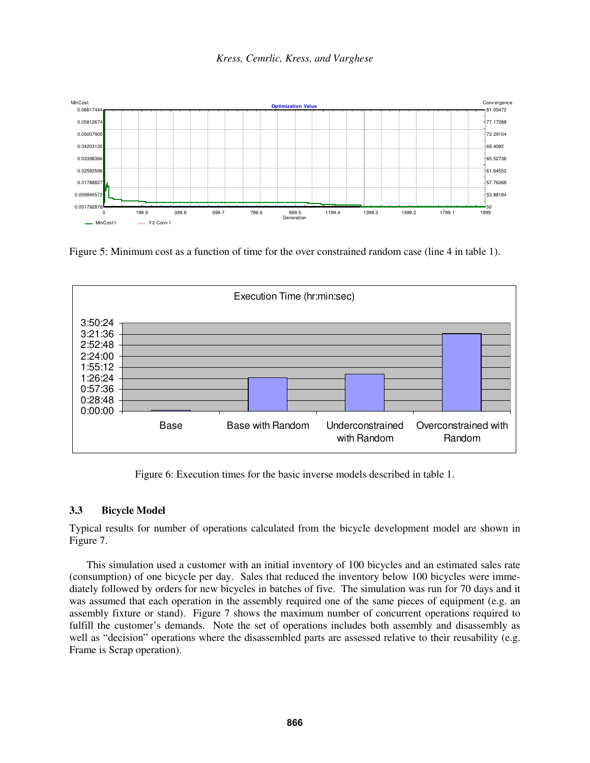

Figure 5: Minimum cost as a function of time for the over constrained random case (line 4 in table 1).



Figure 6: Execution times for the basic inverse models described in table 1.

# **3.3 Bicycle Model**

Typical results for number of operations calculated from the bicycle development model are shown in Figure 7.

 This simulation used a customer with an initial inventory of 100 bicycles and an estimated sales rate (consumption) of one bicycle per day. Sales that reduced the inventory below 100 bicycles were immediately followed by orders for new bicycles in batches of five. The simulation was run for 70 days and it was assumed that each operation in the assembly required one of the same pieces of equipment (e.g. an assembly fixture or stand). Figure 7 shows the maximum number of concurrent operations required to fulfill the customer's demands. Note the set of operations includes both assembly and disassembly as well as "decision" operations where the disassembled parts are assessed relative to their reusability (e.g. Frame is Scrap operation).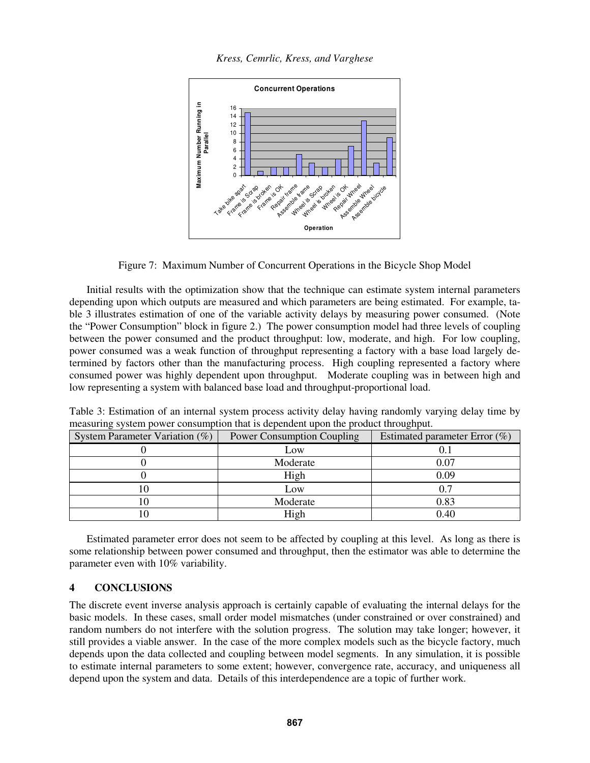*Kress, Cemrlic, Kress, and Varghese* 



Figure 7: Maximum Number of Concurrent Operations in the Bicycle Shop Model

 Initial results with the optimization show that the technique can estimate system internal parameters depending upon which outputs are measured and which parameters are being estimated. For example, table 3 illustrates estimation of one of the variable activity delays by measuring power consumed. (Note the "Power Consumption" block in figure 2.) The power consumption model had three levels of coupling between the power consumed and the product throughput: low, moderate, and high. For low coupling, power consumed was a weak function of throughput representing a factory with a base load largely determined by factors other than the manufacturing process. High coupling represented a factory where consumed power was highly dependent upon throughput. Moderate coupling was in between high and low representing a system with balanced base load and throughput-proportional load.

| System Parameter Variation $(\%)$ | <b>Power Consumption Coupling</b> | Estimated parameter Error $(\%)$ |
|-----------------------------------|-----------------------------------|----------------------------------|
|                                   | Low                               |                                  |
|                                   | Moderate                          | 0.07                             |
|                                   | High                              | 0.09                             |
| ΙV                                | Low                               |                                  |
|                                   | Moderate                          | 0.83                             |
|                                   | High                              | 0.40                             |

Table 3: Estimation of an internal system process activity delay having randomly varying delay time by measuring system power consumption that is dependent upon the product throughput.

 Estimated parameter error does not seem to be affected by coupling at this level. As long as there is some relationship between power consumed and throughput, then the estimator was able to determine the parameter even with 10% variability.

### **4 CONCLUSIONS**

The discrete event inverse analysis approach is certainly capable of evaluating the internal delays for the basic models. In these cases, small order model mismatches (under constrained or over constrained) and random numbers do not interfere with the solution progress. The solution may take longer; however, it still provides a viable answer. In the case of the more complex models such as the bicycle factory, much depends upon the data collected and coupling between model segments. In any simulation, it is possible to estimate internal parameters to some extent; however, convergence rate, accuracy, and uniqueness all depend upon the system and data. Details of this interdependence are a topic of further work.